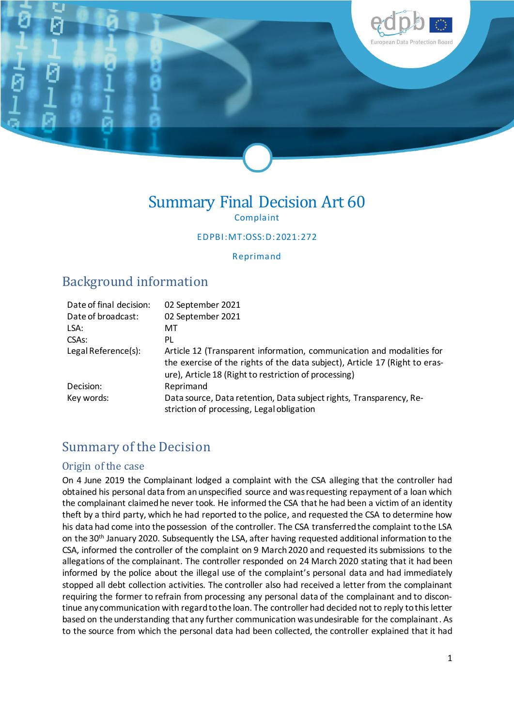

### Summary Final Decision Art 60 Complaint

EDPBI:MT:OSS:D:2021:272

Reprimand

## Background information

| Date of final decision: | 02 September 2021                                                                                                                                                                                             |
|-------------------------|---------------------------------------------------------------------------------------------------------------------------------------------------------------------------------------------------------------|
| Date of broadcast:      | 02 September 2021                                                                                                                                                                                             |
| LSA:                    | МT                                                                                                                                                                                                            |
| CSA <sub>S</sub> :      | PL                                                                                                                                                                                                            |
| Legal Reference(s):     | Article 12 (Transparent information, communication and modalities for<br>the exercise of the rights of the data subject), Article 17 (Right to eras-<br>ure), Article 18 (Right to restriction of processing) |
| Decision:               | Reprimand                                                                                                                                                                                                     |
| Key words:              | Data source, Data retention, Data subject rights, Transparency, Re-<br>striction of processing, Legal obligation                                                                                              |

# Summary of the Decision

#### Origin of the case

On 4 June 2019 the Complainant lodged a complaint with the CSA alleging that the controller had obtained his personal data from an unspecified source and was requesting repayment of a loan which the complainant claimed he never took. He informed the CSA that he had been a victim of an identity theft by a third party, which he had reported to the police, and requested the CSA to determine how his data had come into the possession of the controller. The CSA transferred the complaint to the LSA on the 30th January 2020. Subsequently the LSA, after having requested additional information to the CSA, informed the controller of the complaint on 9 March 2020 and requested its submissions to the allegations of the complainant. The controller responded on 24 March 2020 stating that it had been informed by the police about the illegal use of the complaint's personal data and had immediately stopped all debt collection activities. The controller also had received a letter from the complainant requiring the former to refrain from processing any personal data of the complainant and to discontinue any communication with regard to the loan. The controller had decided not to reply to this letter based on the understanding that any further communication was undesirable for the complainant. As to the source from which the personal data had been collected, the controller explained that it had